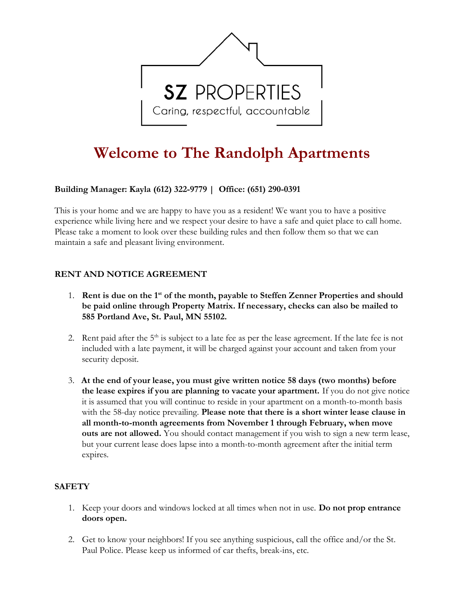

# Welcome to The Randolph Apartments

# Building Manager: **Kayla (612) 322-9779** | Office: (651) 290-0391

This is your home and we are happy to have you as a resident! We want you to have a positive experience while living here and we respect your desire to have a safe and quiet place to call home. Please take a moment to look over these building rules and then follow them so that we can maintain a safe and pleasant living environment.

### RENT AND NOTICE AGREEMENT

- 1. Rent is due on the  $1<sup>st</sup>$  of the month, payable to Steffen Zenner Properties and should be paid online through Property Matrix. If necessary, checks can also be mailed to 585 Portland Ave, St. Paul, MN 55102.
- 2. Rent paid after the  $5<sup>th</sup>$  is subject to a late fee as per the lease agreement. If the late fee is not included with a late payment, it will be charged against your account and taken from your security deposit.
- 3. At the end of your lease, you must give written notice 58 days (two months) before the lease expires if you are planning to vacate your apartment. If you do not give notice it is assumed that you will continue to reside in your apartment on a month-to-month basis with the 58-day notice prevailing. Please note that there is a short winter lease clause in all month-to-month agreements from November 1 through February, when move outs are not allowed. You should contact management if you wish to sign a new term lease, but your current lease does lapse into a month-to-month agreement after the initial term expires.

### **SAFETY**

- 1. Keep your doors and windows locked at all times when not in use. Do not prop entrance doors open.
- 2. Get to know your neighbors! If you see anything suspicious, call the office and/or the St. Paul Police. Please keep us informed of car thefts, break-ins, etc.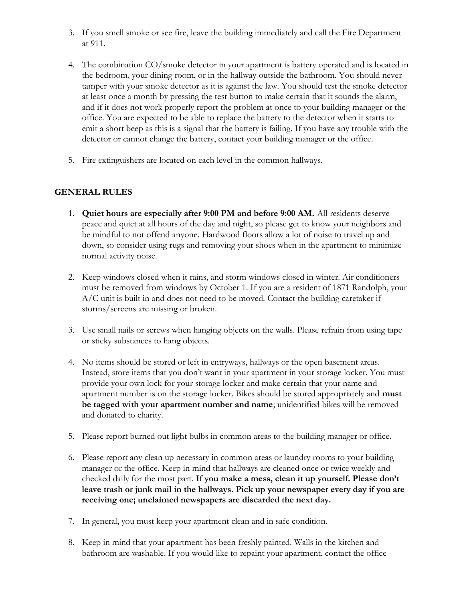- 3. If you smell smoke or see fire, leave the building immediately and call the Fire Department at 911.
- 4. The combination CO/smoke detector in your apartment is battery operated and is located in the bedroom, your dining room, or in the hallway outside the bathroom. You should never tamper with your smoke detector as it is against the law. You should test the smoke detector at least once a month by pressing the test button to make certain that it sounds the alarm, and if it does not work properly report the problem at once to your building manager or the office. You are expected to be able to replace the battery to the detector when it starts to emit a short beep as this is a signal that the battery is failing. If you have any trouble with the detector or cannot change the battery, contact your building manager or the office.
- 5. Fire extinguishers are located on each level in the common hallways.

# GENERAL RULES

- 1. Quiet hours are especially after 9:00 PM and before 9:00 AM. All residents deserve peace and quiet at all hours of the day and night, so please get to know your neighbors and be mindful to not offend anyone. Hardwood floors allow a lot of noise to travel up and down, so consider using rugs and removing your shoes when in the apartment to minimize normal activity noise.
- 2. Keep windows closed when it rains, and storm windows closed in winter. Air conditioners must be removed from windows by October 1. If you are a resident of 1871 Randolph, your A/C unit is built in and does not need to be moved. Contact the building caretaker if storms/screens are missing or broken.
- 3. Use small nails or screws when hanging objects on the walls. Please refrain from using tape or sticky substances to hang objects.
- 4. No items should be stored or left in entryways, hallways or the open basement areas. Instead, store items that you don't want in your apartment in your storage locker. You must provide your own lock for your storage locker and make certain that your name and apartment number is on the storage locker. Bikes should be stored appropriately and **must** be tagged with your apartment number and name; unidentified bikes will be removed and donated to charity.
- 5. Please report burned out light bulbs in common areas to the building manager or office.
- 6. Please report any clean up necessary in common areas or laundry rooms to your building manager or the office. Keep in mind that hallways are cleaned once or twice weekly and checked daily for the most part. If you make a mess, clean it up yourself. Please don't leave trash or junk mail in the hallways. Pick up your newspaper every day if you are receiving one; unclaimed newspapers are discarded the next day.
- 7. In general, you must keep your apartment clean and in safe condition.
- 8. Keep in mind that your apartment has been freshly painted. Walls in the kitchen and bathroom are washable. If you would like to repaint your apartment, contact the office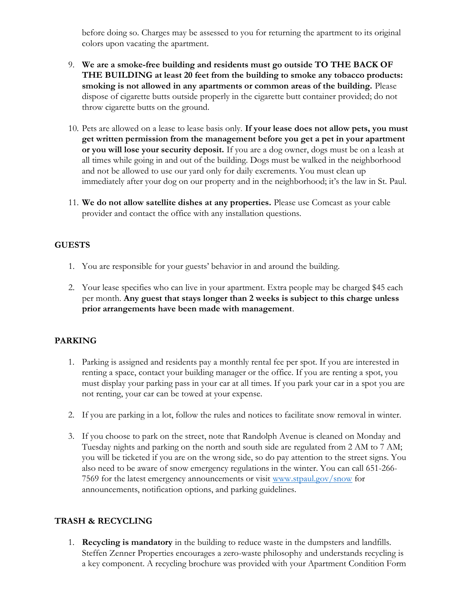before doing so. Charges may be assessed to you for returning the apartment to its original colors upon vacating the apartment.

- 9. We are a smoke-free building and residents must go outside TO THE BACK OF THE BUILDING at least 20 feet from the building to smoke any tobacco products: smoking is not allowed in any apartments or common areas of the building. Please dispose of cigarette butts outside properly in the cigarette butt container provided; do not throw cigarette butts on the ground.
- 10. Pets are allowed on a lease to lease basis only. If your lease does not allow pets, you must get written permission from the management before you get a pet in your apartment or you will lose your security deposit. If you are a dog owner, dogs must be on a leash at all times while going in and out of the building. Dogs must be walked in the neighborhood and not be allowed to use our yard only for daily excrements. You must clean up immediately after your dog on our property and in the neighborhood; it's the law in St. Paul.
- 11. We do not allow satellite dishes at any properties. Please use Comcast as your cable provider and contact the office with any installation questions.

#### GUESTS

- 1. You are responsible for your guests' behavior in and around the building.
- 2. Your lease specifies who can live in your apartment. Extra people may be charged \$45 each per month. Any guest that stays longer than 2 weeks is subject to this charge unless prior arrangements have been made with management.

#### PARKING

- 1. Parking is assigned and residents pay a monthly rental fee per spot. If you are interested in renting a space, contact your building manager or the office. If you are renting a spot, you must display your parking pass in your car at all times. If you park your car in a spot you are not renting, your car can be towed at your expense.
- 2. If you are parking in a lot, follow the rules and notices to facilitate snow removal in winter.
- 3. If you choose to park on the street, note that Randolph Avenue is cleaned on Monday and Tuesday nights and parking on the north and south side are regulated from 2 AM to 7 AM; you will be ticketed if you are on the wrong side, so do pay attention to the street signs. You also need to be aware of snow emergency regulations in the winter. You can call 651-266- 7569 for the latest emergency announcements or visit www.stpaul.gov/snow for announcements, notification options, and parking guidelines.

### TRASH & RECYCLING

1. Recycling is mandatory in the building to reduce waste in the dumpsters and landfills. Steffen Zenner Properties encourages a zero-waste philosophy and understands recycling is a key component. A recycling brochure was provided with your Apartment Condition Form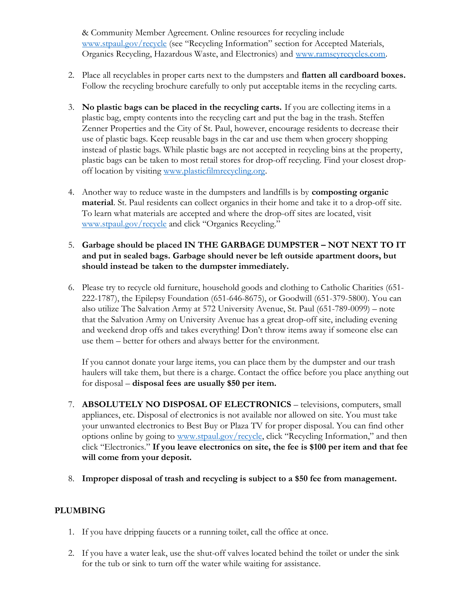& Community Member Agreement. Online resources for recycling include www.stpaul.gov/recycle (see "Recycling Information" section for Accepted Materials, Organics Recycling, Hazardous Waste, and Electronics) and www.ramseyrecycles.com.

- 2. Place all recyclables in proper carts next to the dumpsters and **flatten all cardboard boxes.** Follow the recycling brochure carefully to only put acceptable items in the recycling carts.
- 3. No plastic bags can be placed in the recycling carts. If you are collecting items in a plastic bag, empty contents into the recycling cart and put the bag in the trash. Steffen Zenner Properties and the City of St. Paul, however, encourage residents to decrease their use of plastic bags. Keep reusable bags in the car and use them when grocery shopping instead of plastic bags. While plastic bags are not accepted in recycling bins at the property, plastic bags can be taken to most retail stores for drop-off recycling. Find your closest dropoff location by visiting www.plasticfilmrecycling.org.
- 4. Another way to reduce waste in the dumpsters and landfills is by composting organic material. St. Paul residents can collect organics in their home and take it to a drop-off site. To learn what materials are accepted and where the drop-off sites are located, visit www.stpaul.gov/recycle and click "Organics Recycling."

### 5. Garbage should be placed IN THE GARBAGE DUMPSTER – NOT NEXT TO IT and put in sealed bags. Garbage should never be left outside apartment doors, but should instead be taken to the dumpster immediately.

6. Please try to recycle old furniture, household goods and clothing to Catholic Charities (651- 222-1787), the Epilepsy Foundation (651-646-8675), or Goodwill (651-379-5800). You can also utilize The Salvation Army at 572 University Avenue, St. Paul (651-789-0099) – note that the Salvation Army on University Avenue has a great drop-off site, including evening and weekend drop offs and takes everything! Don't throw items away if someone else can use them – better for others and always better for the environment.

If you cannot donate your large items, you can place them by the dumpster and our trash haulers will take them, but there is a charge. Contact the office before you place anything out for disposal – disposal fees are usually \$50 per item.

- 7. ABSOLUTELY NO DISPOSAL OF ELECTRONICS televisions, computers, small appliances, etc. Disposal of electronics is not available nor allowed on site. You must take your unwanted electronics to Best Buy or Plaza TV for proper disposal. You can find other options online by going to www.stpaul.gov/recycle, click "Recycling Information," and then click "Electronics." If you leave electronics on site, the fee is \$100 per item and that fee will come from your deposit.
- 8. Improper disposal of trash and recycling is subject to a \$50 fee from management.

### PLUMBING

- 1. If you have dripping faucets or a running toilet, call the office at once.
- 2. If you have a water leak, use the shut-off valves located behind the toilet or under the sink for the tub or sink to turn off the water while waiting for assistance.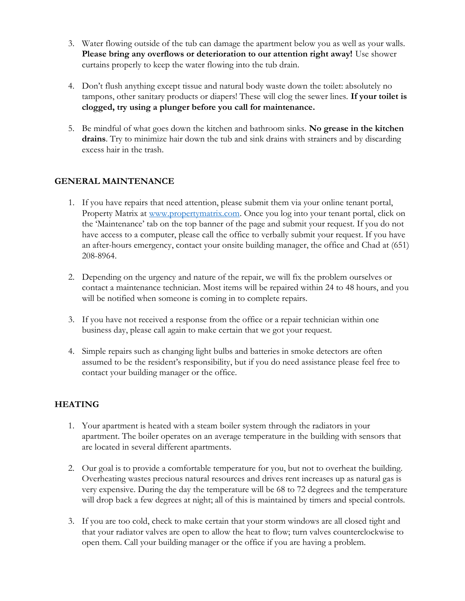- 3. Water flowing outside of the tub can damage the apartment below you as well as your walls. Please bring any overflows or deterioration to our attention right away! Use shower curtains properly to keep the water flowing into the tub drain.
- 4. Don't flush anything except tissue and natural body waste down the toilet: absolutely no tampons, other sanitary products or diapers! These will clog the sewer lines. If your toilet is clogged, try using a plunger before you call for maintenance.
- 5. Be mindful of what goes down the kitchen and bathroom sinks. No grease in the kitchen drains. Try to minimize hair down the tub and sink drains with strainers and by discarding excess hair in the trash.

# GENERAL MAINTENANCE

- 1. If you have repairs that need attention, please submit them via your online tenant portal, Property Matrix at www.propertymatrix.com. Once you log into your tenant portal, click on the 'Maintenance' tab on the top banner of the page and submit your request. If you do not have access to a computer, please call the office to verbally submit your request. If you have an after-hours emergency, contact your onsite building manager, the office and Chad at (651) 208-8964.
- 2. Depending on the urgency and nature of the repair, we will fix the problem ourselves or contact a maintenance technician. Most items will be repaired within 24 to 48 hours, and you will be notified when someone is coming in to complete repairs.
- 3. If you have not received a response from the office or a repair technician within one business day, please call again to make certain that we got your request.
- 4. Simple repairs such as changing light bulbs and batteries in smoke detectors are often assumed to be the resident's responsibility, but if you do need assistance please feel free to contact your building manager or the office.

# **HEATING**

- 1. Your apartment is heated with a steam boiler system through the radiators in your apartment. The boiler operates on an average temperature in the building with sensors that are located in several different apartments.
- 2. Our goal is to provide a comfortable temperature for you, but not to overheat the building. Overheating wastes precious natural resources and drives rent increases up as natural gas is very expensive. During the day the temperature will be 68 to 72 degrees and the temperature will drop back a few degrees at night; all of this is maintained by timers and special controls.
- 3. If you are too cold, check to make certain that your storm windows are all closed tight and that your radiator valves are open to allow the heat to flow; turn valves counterclockwise to open them. Call your building manager or the office if you are having a problem.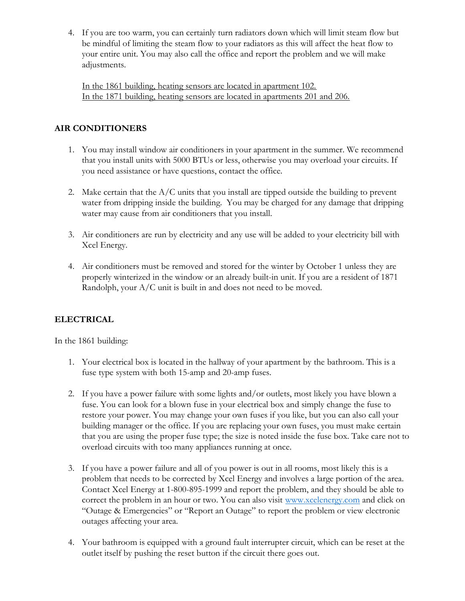4. If you are too warm, you can certainly turn radiators down which will limit steam flow but be mindful of limiting the steam flow to your radiators as this will affect the heat flow to your entire unit. You may also call the office and report the problem and we will make adjustments.

In the 1861 building, heating sensors are located in apartment 102. In the 1871 building, heating sensors are located in apartments 201 and 206.

# AIR CONDITIONERS

- 1. You may install window air conditioners in your apartment in the summer. We recommend that you install units with 5000 BTUs or less, otherwise you may overload your circuits. If you need assistance or have questions, contact the office.
- 2. Make certain that the  $A/C$  units that you install are tipped outside the building to prevent water from dripping inside the building. You may be charged for any damage that dripping water may cause from air conditioners that you install.
- 3. Air conditioners are run by electricity and any use will be added to your electricity bill with Xcel Energy.
- 4. Air conditioners must be removed and stored for the winter by October 1 unless they are properly winterized in the window or an already built-in unit. If you are a resident of 1871 Randolph, your A/C unit is built in and does not need to be moved.

# ELECTRICAL

In the 1861 building:

- 1. Your electrical box is located in the hallway of your apartment by the bathroom. This is a fuse type system with both 15-amp and 20-amp fuses.
- 2. If you have a power failure with some lights and/or outlets, most likely you have blown a fuse. You can look for a blown fuse in your electrical box and simply change the fuse to restore your power. You may change your own fuses if you like, but you can also call your building manager or the office. If you are replacing your own fuses, you must make certain that you are using the proper fuse type; the size is noted inside the fuse box. Take care not to overload circuits with too many appliances running at once.
- 3. If you have a power failure and all of you power is out in all rooms, most likely this is a problem that needs to be corrected by Xcel Energy and involves a large portion of the area. Contact Xcel Energy at 1-800-895-1999 and report the problem, and they should be able to correct the problem in an hour or two. You can also visit www.xcelenergy.com and click on "Outage & Emergencies" or "Report an Outage" to report the problem or view electronic outages affecting your area.
- 4. Your bathroom is equipped with a ground fault interrupter circuit, which can be reset at the outlet itself by pushing the reset button if the circuit there goes out.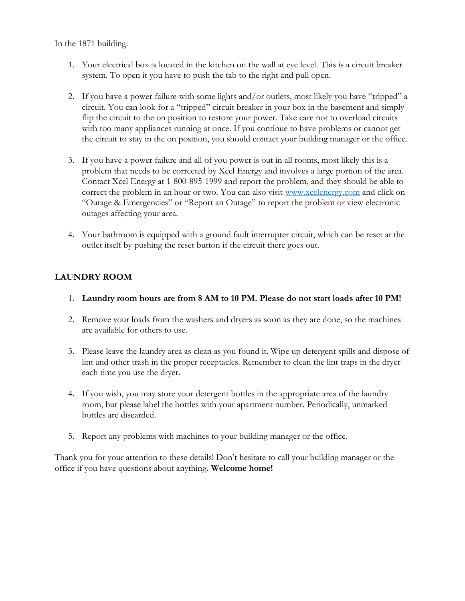In the 1871 building:

- 1. Your electrical box is located in the kitchen on the wall at eye level. This is a circuit breaker system. To open it you have to push the tab to the right and pull open.
- 2. If you have a power failure with some lights and/or outlets, most likely you have "tripped" a circuit. You can look for a "tripped" circuit breaker in your box in the basement and simply flip the circuit to the on position to restore your power. Take care not to overload circuits with too many appliances running at once. If you continue to have problems or cannot get the circuit to stay in the on position, you should contact your building manager or the office.
- 3. If you have a power failure and all of you power is out in all rooms, most likely this is a problem that needs to be corrected by Xcel Energy and involves a large portion of the area. Contact Xcel Energy at 1-800-895-1999 and report the problem, and they should be able to correct the problem in an hour or two. You can also visit www.xcelenergy.com and click on "Outage & Emergencies" or "Report an Outage" to report the problem or view electronic outages affecting your area.
- 4. Your bathroom is equipped with a ground fault interrupter circuit, which can be reset at the outlet itself by pushing the reset button if the circuit there goes out.

# LAUNDRY ROOM

- 1. Laundry room hours are from 8 AM to 10 PM. Please do not start loads after 10 PM!
- 2. Remove your loads from the washers and dryers as soon as they are done, so the machines are available for others to use.
- 3. Please leave the laundry area as clean as you found it. Wipe up detergent spills and dispose of lint and other trash in the proper receptacles. Remember to clean the lint traps in the dryer each time you use the dryer.
- 4. If you wish, you may store your detergent bottles in the appropriate area of the laundry room, but please label the bottles with your apartment number. Periodically, unmarked bottles are discarded.
- 5. Report any problems with machines to your building manager or the office.

Thank you for your attention to these details! Don't hesitate to call your building manager or the office if you have questions about anything. Welcome home!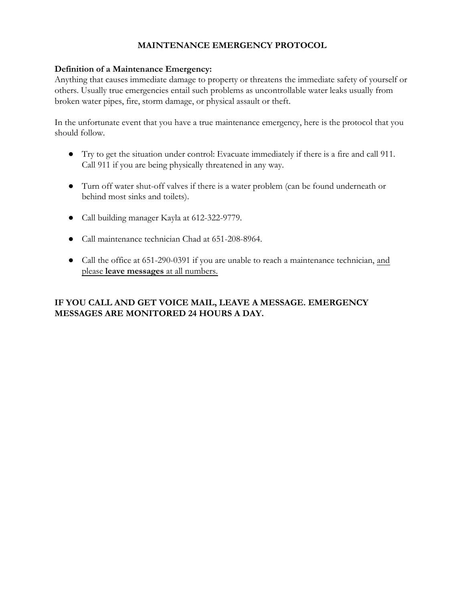# MAINTENANCE EMERGENCY PROTOCOL

#### Definition of a Maintenance Emergency:

Anything that causes immediate damage to property or threatens the immediate safety of yourself or others. Usually true emergencies entail such problems as uncontrollable water leaks usually from broken water pipes, fire, storm damage, or physical assault or theft.

In the unfortunate event that you have a true maintenance emergency, here is the protocol that you should follow.

- Try to get the situation under control: Evacuate immediately if there is a fire and call 911. Call 911 if you are being physically threatened in any way.
- Turn off water shut-off valves if there is a water problem (can be found underneath or behind most sinks and toilets).
- Call building manager Kayla at 612-322-9779.
- Call maintenance technician Chad at 651-208-8964.
- Call the office at 651-290-0391 if you are unable to reach a maintenance technician, and please leave messages at all numbers.

# IF YOU CALL AND GET VOICE MAIL, LEAVE A MESSAGE. EMERGENCY MESSAGES ARE MONITORED 24 HOURS A DAY.